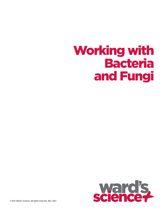# Working with Bacteria and Fungi

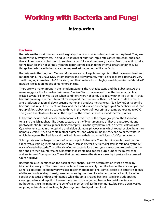## Working with Bacteria and Fungi

### *Introduction*

#### **Bacteria**

Bacteria are the most numerous and, arguably, the most successful organisms on the planet. They are found virtually everywhere. Their diverse sources of nutrition, rapid rates of reproduction, and adaptive abilities have enabled them to survive successfully in almost every habitat. From the arctic tundra to the near-boiling hot springs, from the depths of the ocean to the internal organs of other living things, bacteria have thrived since the very earliest beginnings of life on Earth.

Bacteria are in the Kingdom Monera. Monerans are prokaryotes—organisms that have a nucleoid and mitochondria. They have DNA chromosomes and are very rarely multi-cellular. Most bacteria are very small, ranging in size from 1–10 microns, and their metabolism is highly variable, unlike the "standard" metabolic oxidation modes of higher organisms.

There are two major groups in the Kingdom Monera: the Archaebacteria and the Eubacteria. As the name suggests, the Archaebacteria are an "ancient" form that evolved from the bacteria that first existed several billion years ago, when conditions were not conducive to any other type of life. Archaebacteria are unique in their chemical makeup and the structure of their DNA and include the methane-producers that break down organic matter and produce methane gas. "Salt-loving", or halophilic, bacteria that inhabit the Great Salt Lake and the Dead Sea are another group of Archaebacteria. A third group of Archaebacteria is adapted to thrive in the waters of hot springs at temperatures up to 90°C. This group has also been found in the depths of the oceans in areas around thermal plumes.

Eubacteria include both aerobic and anaerobic forms. Two of the major groups are the Cyanobacteria and the Schizophyta. The Cyanobacteria are the "blue-green algae". They are autotrophic and photosynthetic, but unlike plants, their chlorophyll is in the cytoplasm, not in discreet chloroplasts. Cyanobacteria contain chlorophyll a and a blue pigment, phycocyanin, which together give them their namesake color. They also contain other pigments, and when abundant, they can color the water in which they grow. The Red Sea and the Black Sea owe their names to "blooms" of Cyanobacteria.

Schizophyta are the largest groups of heterotrophic Eubacteria. Their classification is based on the Gram test, a staining method developed by a Danish doctor. Crystal violet stain is retained by the cell walls of certain bacteria. The cell walls of other bacteria lose the crystal violet complex by decolorization and are then counter stained. Bacteria that are stained appear purple under the microscope, and are termed Gram-positive. Those that do not take up the stain appear light pink and are termed Gram-negative.

Bacteria are also identified on the basis of their shape. Positive determination must be made by biochemical analysis. The three major bacterial forms are readily identified under the microscope. Spherical bacteria (cocci) may grow close together but do not link. Some species are causative agents of diseases such as strep throat, pneumonia, and gonorrhea. Rod-shaped bacteria (bacilli) includes species that cause anthrax and tetanus, while the spiral-shaped bacteria (spirilli) include species causing cholera and syphilis. However, very few of the large numbers of bacterial species are pathogenic, since the majority are beneficial members of Earth's community, breaking down wastes, recycling nutrients, and enabling higher organisms to digest their food.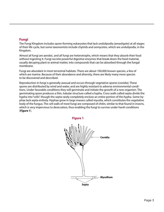#### **Fungi**

The Fungi Kingdom includes spore-forming eukaryotes that lack undulipodia (amastigote) at all stages of their life cycle, but some taxonomists include chytrids and oomycetes, which are undulipodia, in the Kingdom.

Almost all fungi are aerobic, and all fungi are heterotrophs, which means that they absorb their food without ingesting it. Fungi secrete powerful digestive enzymes that break down the food material, usually decaying plant or animal matter, into compounds that can be absorbed through the fungal membrane.

Fungi are abundant in most terrestrial habitats. There are about 100,000 known species, a few of which are marine. Because of their abundance and diversity, there are likely many more species to be discovered and described.

Reproduction in fungi is generally asexual and occurs through vegetative spores (conidia). These spores are distributed by wind and water, and are highly resistant to adverse environmental conditions. Under favorable conditions they will germinate and initiate the growth of a new organism. The germinating spore produces a thin, tubular structure called a hypha. Cross walls called septa divide the hypha into "cells", though the septa rarely completely enclose an entire portion of the hypha. Some hyphae lack septa entirely. Hyphae grow in large masses called mycelia, which constitutes the vegetative body of the fungus. The cell walls of most fungi are composed of chitin, similar to that found in insects, which is very impervious to desiccation, thus enabling the fungi to survive under harsh conditions (*Figure 1*).

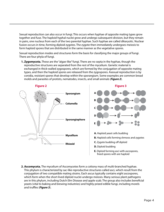Sexual reproduction can also occur in fungi. This occurs when hyphae of opposite mating types grow together and fuse. The haploid hyphal nuclei grow and undergo subsequent division, but they remain in pairs, one nucleus from each of the two parental hyphae. Such hyphae are called dikaryotic. Nuclear fusion occurs in time, forming diploid zygotes. The zygote then immediately undergoes meiosis to form haploid spores that are distributed in the same manner as the vegetative spores.

Sexual reproduction modes and structures form the basis for classifying the major groups of fungi. There are four phyla of fungi.

**1. Zygomycota.** These are the "algae-like" fungi. There are no septa in the hyphae, though the reproductive structures are separated from the rest of the mycelium. Genetic material is exchanged in thick-walled zygospores, which are formed by the conjugation of opposite mating types, and then the haploid spores are released from the zygospores. Asexual reproduction is by conidia, resistant spores that develop within the sporangium. Some examples are common bread molds and parasites of protists, nematodes, insects, and small animals (*Figure 2*).



**2. Ascomycota.** The mycelium of Ascomycetes form a cottony mass of multi-branched hyphae. This phylum is characterized by sac-like reproductive structures called asci, which result from the conjugation of two compatible mating strains. Each ascus typically contains eight ascospores, which form when the short-lived diploid nuclei undergo meiosis. Many serious plant pathogens are in this phylum, including Dutch Elm Disease and apple scab. The group also includes beneficial yeasts (vital to baking and brewing industries) and highly prized edible fungi, including morels and truffles (*Figure 3*).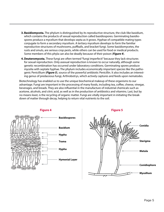- **3. Basidiomycota.** The phylum is distinguished by its reproductive structure, the club-like basidium, which contains the products of sexual reproduction called basidiospores. Germinating basidiospores produce a mycelium that develops septa as it grows. Hyphae of compatible mating types conjugate to form a secondary mycelium. A tertiary mycelium develops to form the familiar reproductive structures of mushrooms, puffballs, and bracket fungi. Some basidiomycetes, the rusts and smuts, are serious crop pests, while others can be used for food or medical products. Some members of this phyla can also be deadly because of their poison (*Figure 4*).
- **4.Deuteromycota.** These fungi are often termed "fungi imperfecti" because they lack structures for sexual reproduction. Only asexual reproduction is known to occur naturally, although some genetic recombination has occurred under laboratory conditions. Germinating spores produce mycelia with septate hyphae. The phylum includes economically important species like the pathogenic Penicillium (*Figure 5*), source of the powerful antibiotic Penicillin. It also includes an interesting genus of predaceous fungi, Arthrobotrys, which actively captures and feeds upon nematodes.

Biotechnology has enabled us to use the unique biochemical makeup of these organisms to our advantage. Fungi are important in the processing of many foods, including tea, coffee, cheese, vinegar, beverages, and breads. They are also influential in the manufacture of industrial chemicals such as acetone, alcohols, and citric acid, as well as in the production of antibiotics and vitamins. Last, but by no means least, is the recycling of organic matter. Fungi are vitally important in initiating the breakdown of matter through decay, helping to return vital nutrients to the soil.



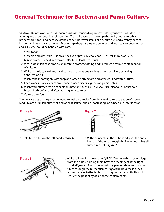## General Technique for Bacteria and Fungi Cultures

**Caution:** Do not work with pathogenic (disease-causing) organisms unless you have had sufficient training and experience in their handling. Treat all bacteria as being pathogenic, both to establish proper work habits and because of the chance (however small) of a culture are inadvertently becoming contaminated by a pathogen. Even non-pathogens are pure cultures and are heavily concentrated, and, as such, should be handled with care.

1. Sterilization

a. Media and glassware: Use an autoclave or pressure cooker at 15 lbs. for 15 min. at 121°C.

- b. Glassware: Dry heat in oven at 160°C for at least two hours.
- 2. Wear a clean lab coat, smock, or apron to protect clothing and to reduce possible contamination of cultures.
- 3. While in the lab, avoid any hand to mouth operations, such as eating, smoking, or licking adhesive labels.
- 4. Wash hands thoroughly with soap and water, both before and after working with cultures.
- 5. Keep work surface clear of any unnecessary objects (e.g., books, purses, etc.)
- 6. Wash work surface with a capable disinfectant, such as 10% Lysol, 70% alcohol, or household bleach both before and after working with cultures.
- 7. Culture transfers

The only articles of equipment needed to make a transfer from the initial culture to a tube of sterile medium are a Bunsen burner or similar heat source, and an inoculating loop, needle, or sterile swab.





- **Figure 7**
- b. With the needle in the right hand, pass the entire length of the wire through the flame until it has all turned red hot (*Figure 7*).



c. While still holding the needle, QUICKLY remove the caps or plugs from the tubes, holding them between the fingers of the right hand (*Figure 8*). Flame the mouths by passing them two or three times through the burner flames (*Figure 9*). Hold these tubes almost parallel to the table top if they contain a broth. This will reduce the possibility of air-borne contaminants.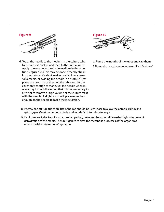



- d. Touch the needle to the medium in the culture tube to be sure it is cooled, and then to the culture mass. Apply the needle to the sterile medium in the other tube (*Figure 10*). (This may be done either by streaking the surface of a slant, making a stab into a semisolid media, or swirling the needle in a broth.) If Petri plates are used, place them on the table and lift the cover only enough to maneuver the needle when inoculating. It should be noted that it is not necessary to attempt to remove a large volume of the culture mass with the needle. A slight touch will place more than enough on the needle to make the inoculation.
- e. Flame the mouths of the tubes and cap them. f. Flame the inoculating needle until it is "red hot".

- 8. If screw cap culture tubes are used, the cap should be kept loose to allow the aerobic cultures to get oxygen. (Most common bacteria and molds fall into this category.)
- 9. If cultures are to be kept for an extended period, however, they should be sealed tightly to prevent dehydration of the media. Then refrigerate to slow the metabolic processes of the organisms, unless the label states no refrigeration.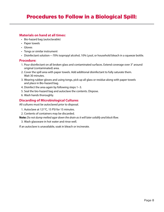## Procedures to Follow in a Biological Spill:

#### **Materials on hand at all times:**

- Bio-hazard bag (autoclavable)
- Paper towels
- Gloves
- Tongs or similar instrument
- Disinfectant solution—70% isopropyl alcohol, 10% Lysol, or household bleach in a squeeze bottle.

#### **Procedure:**

- 1. Pour disinfectant on all broken glass and contaminated surfaces. Extend coverage over 3" around original (contaminated) area.
- 2. Cover the spill area with paper towels. Add additional disinfectant to fully saturate them. Wait 30 minutes.
- 3. Wearing rubber gloves and using tongs, pick up all glass or residue along with paper towels and place in Bio-hazard bag.
- 4. Disinfect the area again by following steps 1–3.
- 5. Seal the bio-hazard bag and autoclave the contents. Dispose.
- 6. Wash hands thoroughly.

#### **Discarding of Microbiological Cultures**

All cultures must be autoclaved prior to disposal.

- 1. Autoclave at 121°C, 15 PSI for 15 minutes.
- 2. Contents of containers may be discarded.

**Note:** *Do not dump melted agar down the drain as it will later solidify and block flow.* 

3. Wash glassware in hot water and rinse well.

If an autoclave is unavailable, soak in bleach or incinerate.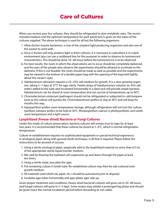When you receive your live cultures, they should be refrigerated to slow metabolic rates. The recommended medium and the optimum temperature for each bacterium is given on the tubes of the cultures supplied. The above technique is used for all but the following organisms:

- *1. Vibrio fischeri* marine bacterium, is one of the simplest light producing organisms and also one of the easiest to work with.
- a. Since *V. fischeri* will only produce light in fresh cultures, it is necessary to subculture it in a dark environment (you can use a cardboard box for this purpose) in order to observe its luminescent characteristics. This should be done 18–48 hours before the luminescence is to be observed.
- b. For best results, the room in which the observations are to occur should be completely darkened, and the eyes of the people who observe the experiments should be allowed to acclimate to the darkness. If this is not feasible, the room should be made as dark as possible and the experiments may be viewed in the bottom of a double paper bag with the opening of the bag held tightly about the viewer's eyes.
- *2. Halobacterium salinarium* requires a 25–35% salt medium for growth. It is a slow growing organism, taking 5–7 days at 37°C for agar slants. Twelve drops of Halobacterium solution (in 25% salt water) added to the tube and incubated horizontally in a slant rack will provide ample bacteria. Halobacterium can be stored at room temperature and can survive at temperatures up to 40°C.
- *3. Chromobacterium violaceum* (pathogen) should not be refrigerated or subjected to cold temperatures as the culture will quickly die. Chromobacterium prefers to stay at 30°C and will keep for months this way.
- 4. Aquaspirillum prefers room temperature storage, although refrigeration will not hurt the culture. Spirillum volutans prefers to be held at 30°C. Rhodospirillum rubrum is photosynthetic and needs room temperature and a light source.

#### **Lyophilized (freeze-dried) Bacteria or Fungi Cultures**

Under this mode of culture preservation, bacteria cultures will remain true-to-type for at least two years. It is recommended that these cultures be stored at 5–6°C, which is normal refrigeration temperature.

Culture re-establishment requires no sophisticated equipment or special technical experience. A serological pipet, along with general sterile technique, is all that is required. Please follow the instructions to be assured of success.

- 1. Using a sterile serological pipet, aseptically add to the lyophilized material no more than 0.5 mL of the appropriate sterile liquid transfer medium.
- 2. Mix well by drawing the hydrated cell suspension up and down through the pipet at least ten times.
- 3. Using a sterile swab, inoculate the agar.
- 4. Put remaining culture in broth tube. Re-established culture may then be sub-cultured onto growth medium.
- 5. All materials used (shell vial, pipet, etc.) should be autoclaved prior to disposal.
- 6. Incubate agar tubes horizontally and agar plates agar side up.

Given proper treatment and conditions, freeze-dried bacterial cultures will grow out in 24–48 hours, and fungal cultures will grow in 3–5 days. Some strains may exhibit a prolonged lag phase and should be given twice the normal incubation period before discarding as not viable.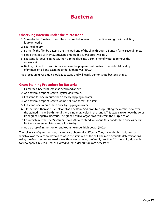#### **Observing Bacteria under the Microscope**

- 1. Spread a thin film from the culture on one half of a microscope slide, using the inoculating loop or needle.
- 2. Let the film dry.
- 3. Flame-fix the film by passing the smeared end of the slide through a Bunsen flame several times.
- 4. Flood the slide with 1% Methylene Blue stain (several drops will do).
- 5. Let stand for several minutes, then dip the slide into a container of water to remove the excess stain.
- 6. Blot dry. Do not rub, as this may remove the prepared culture from the slide. Add a drop of immersion oil and examine under high power (100X).

This procedure gives a quick look at bacteria and will easily demonstrate bacteria shape.

#### **Gram Staining Procedure for Bacteria**

- 1. Flame-fix a bacterial smear as described above.
- 2. Add several drops of Gram's Crystal Violet stain.
- 3. Let stand for one minute, then rinse by dipping in water.
- 4. Add several drops of Gram's Iodine Solution to "set" the stain.
- 5. Let stand one minute, then rinse by dipping in water.
- 6. Tilt the slide, then add 95% alcohol as a destain. Add drop by drop, letting the alcohol flow over the stained smear. Do this until there is no more color in the runoff. This step is to remove the color from gram-negative bacteria. The gram-positive organisms will retain the purple color.
- 7. Counterstain with Gram's Safranin stain. Allow to stand for about 30 seconds, then rinse as before. Blot away excess moisture and allow to dry.
- 8. Add a drop of immersion oil and examine under high power (100x).

The cell walls of gram-negative bacteria are chemically different. They have a higher lipid content, which allows the alcohol destain to wash the stain out of the cell. The most accurate determinations using the Gram technique are done with newer cultures, preferably less than 24 hours old, although to view spores in *Bacillus sp.* or *Clortridium sp.* older cultures are necessary.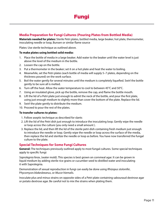#### **Media Preparation for Fungi Cultures (Pouring Plates from Bottled Media)**

**Materials needed for plates:** Sterile Petri plates, bottled media, large beaker, hot plate, thermometer, inoculating needle or loop, Bunsen or similar flame source

Plates: Use sterile technique as outlined above.

#### **To make plates using bottled solid media:**

- 1. Place the bottle of media in a large beaker. Add water to the beaker until the water level is just above the level of the medium in the bottle.
- 2. Loosen the cap on the bottle.
- 3. Put a thermometer in the beaker; set it on a hot plate and heat the water to boiling.
- 4. Meanwhile, set the Petri plates (each bottle of media will supply 5–7 plates, depending on the thickness poured) on the work surface.
- 5. Boil the water gently for several minutes until the medium is completely liquefied. Swirl the bottle gently to be sure all is melted.
- 6. Turn off the heat. Allow the water temperature to cool to between 45°C and 50°C.
- 7. Using an insulated glove, pick up the bottle, remove the cap, and flame the bottle mouth.
- 8. Lift the lid of a Petri plate just enough to admit the neck of the bottle, and pour the first plate, using just enough medium to slightly more than cover the bottom of the plate. Replace the lid.
- 9. Swirl the plate gently to distribute the medium.
- 10. Proceed to pour the rest of the plates.

#### **To transfer cultures to plates:**

- 1. Follow aseptic technique as described for slants
- 2. Lift the lid of the Petri dish just enough to introduce the inoculating loop. Gently wipe the needle or loop across the culture (you only need a small amount ).
- 3. Replace the lid, and then lift the lid of the sterile petri dish containing fresh medium just enough to introduce the needle or loop. Gently wipe the needle or loop across the surface of the media, then replace the lid and sterilize the needle or loop as before. You have now transferred the fungal culture to the plate.

#### **Special Techniques for Some Fungi Cultures**

**General:** The techniques previously outlined apply to most fungal cultures. Some special techniques apply to specific fungi:

*Saprolegnia ferax*, (water mold). This species is best grown on cornmeal agar. It can be grown in liquid medium by adding sterile rice grains or cucumber seed to distilled water and inoculating it with Saprolegnia.

Demonstration of sexual reproduction in fungi can easily be done using *Rhizopus stolonifer*, P*hycomyces blakesleeanus*, or *Mucor hiemalis*.

Inoculate plus and minus strains on opposite sides of a Petri plate containing sabouraud dextrose agar or potato dextrose agar. Be careful not to mix the strains when plating them.